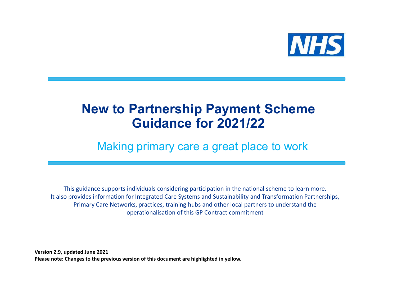

## New to Partnership Payment Scheme Guidance for 2021/22

### Making primary care a great place to work

This guidance supports individuals considering participation in the national scheme to learn more. It also provides information for Integrated Care Systems and Sustainability and Transformation Partnerships, Primary Care Networks, practices, training hubs and other local partners to understand the operationalisation of this GP Contract commitment Making primary care a great<br>
This guidance supports individuals considering participation in the<br>
It also provides information for Integrated Care Systems and Sustainabil<br>
Primary Care Networks, practices, training hubs an

Version 2.9, updated June 2021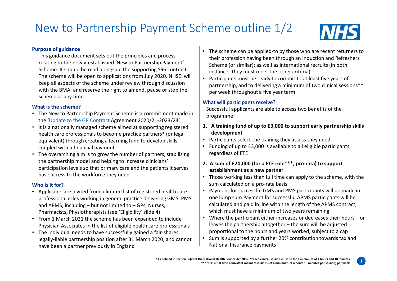## New to Partnership Payment Scheme outline 1/2 MHS



1

#### Purpose of guidance

This guidance document sets out the principles and process relating to the newly-established 'New to Partnership Payment' Scheme. It should be read alongside the supporting S96 contract. The scheme will be open to applications from July 2020. NHSEI will keep all aspects of the scheme under review through discussion with the BMA, and reserve the right to amend, pause or stop the scheme at any time

#### What is the scheme?

- The New to Partnership Payment Scheme is a commitment made in the 'Update to the GP Contract Agreement 2020/21-2023/24'
- health care professionals to become practice partners\* (or legal equivalent) through creating a learning fund to develop skills, coupled with a financial payment
- The overarching aim is to grow the number of partners, stabilising the partnership model and helping to increase clinicians' participation levels so that primary care and the patients it serves have access to the workforce they need with the BMA, and reserve the right to amend, pause or stop the<br>
and the scheme at any time<br>
The New to Partnership Payment Scheme is a commitment made in<br>
the SP Contract Agreement 2020/21-2023/24'<br>
the SP Contract Agreem

### Who is it for?

- Applicants are invited from a limited list of registered health care professional roles working in general practice delivering GMS, PMS
- From 1 March 2021 the scheme has been expanded to include Where the participant either increases or decreases their how<br>leaves the partnership altogether the sum will be adjusted beather and physician Associates in t Physician Associates in the list of eligible health care professionals
- The individual needs to have successfully gained a fair-shares, legally-liable partnership position after 31 March 2020, and cannot have been a partner previously in England
- The scheme can be applied-to by those who are recent returners to their profession having been through an Induction and Refreshers Scheme (or similar); as well as international recruits (in both instances they must meet the other criteria) 1. A training fund of up to £3,000 to support early participants,<br>
1. The scheme can be applied-to by those who are recent returners to<br>
their profession having been through an Induction and Refreshers<br>
Scheme (or similar)
- Participants must be ready to commit to at least five years of partnership, and to delivering a minimum of two clinical sessions\*\* per week throughout a five year term

### What will participants receive?

Successful applicants are able to access two benefits of the programme:

- development • It is a nationally managed scheme aimed at supporting registered  $\|1.$  A training fund of up to £3,000 to support early partnership skills
	- Participants select the training they assess they need
	- Funding of up to £3,000 is available to all eligible participants, regardless of FTE

### 2. A sum of £20,000 (for a FTE role\*\*\*, pro-rata) to support establishment as a new partner

- Those working less than full time can apply to the scheme, with the sum calculated on a pro-rata basis
- Payment for successful GMS and PMS participants will be made in one lump sum Payment for successful APMS participants will be calculated and paid in line with the length of the APMS contract, which must have a minimum of two years remaining What will participants receive?<br>
Successful applicants are able to access two benefits of the<br>
programe:<br>
1. A training fund of up to £3,000 to support early partnership skills<br>
development<br>
• Participants select the trai uccessful applicants are able to access two benefits of the<br>rogramme:<br>**A training fund of up to £3,000 to support early partnership skills**<br>development<br>Participants select the training they assess they need<br>Funding of up t
- proportional to the hours and years worked, subject to a cap Pharmacists, Physiotherapists (see 'Eligibility' slide 4)<br>From 1 March 2021 the scheme has been expanded to include **Converted Water of the participant** either increases or decreases their hours – or
	- Sum is supported by a further 20% contribution towards tax and National Insurance payments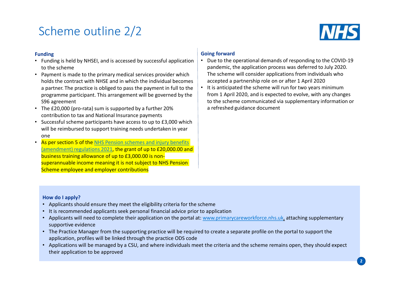### Scheme outline 2/2



#### Funding

- Funding is held by NHSEI, and is accessed by successful application to the scheme
- Payment is made to the primary medical services provider which holds the contract with NHSE and in which the individual becomes a partner. The practice is obliged to pass the payment in full to the programme participant. This arrangement will be governed by the S96 agreement
- The £20,000 (pro-rata) sum is supported by a further 20% contribution to tax and National Insurance payments
- Successful scheme participants have access to up to £3,000 which will be reimbursed to support training needs undertaken in year one with the contract of the contract of the contract of the contract of the contract of the contract of the contract of the contract of the contract of the contract of the contract of the contract of the contract of the c
- %6 agreement<br>
\* (a be estimated of a supplementary information or<br>
"contribution to tax and National Insurance payments<br>
successful schemes and injury benefits<br>
will be reimbursed to support training needs undertaken in y • As per section 5 of the NHS Pension schemes and injury benefits (amendment) regulations 2021, the grant of up to £20,000.00 and business training allowance of up to £3,000.00 is nonsuperannuable income meaning it is not subject to NHS Pension Scheme employee and employer contributions

### Going forward

- Due to the operational demands of responding to the COVID-19 pandemic, the application process was deferred to July 2020. The scheme will consider applications from individuals who accepted a partnership role on or after 1 April 2020
- It is anticipated the scheme will run for two years minimum from 1 April 2020, and is expected to evolve, with any changes to the scheme communicated via supplementary information or a refreshed guidance document

#### How do I apply?

- Applicants should ensure they meet the eligibility criteria for the scheme
- It is recommended applicants seek personal financial advice prior to application
- supportive evidence
- The Practice Manager from the supporting practice will be required to create a separate profile on the portal to support the application, profiles will be linked through the practice ODS code
- Applications will be managed by a CSU, and where individuals meet the criteria and the scheme remains open, they should expect their application to be approved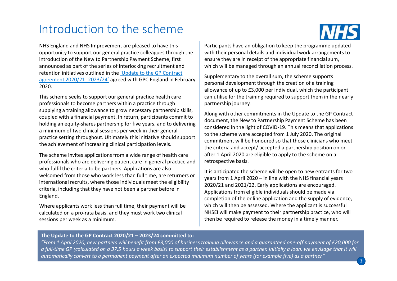### Introduction to the scheme

NHS England and NHS Improvement are pleased to have this opportunity to support our general practice colleagues through the introduction of the New to Partnership Payment Scheme, first announced as part of the series of interlocking recruitment and retention initiatives outlined in the 'Update to the GP Contract agreement 2020/21 -2023/24' agreed with GPC England in February 2020.

This scheme seeks to support our general practice health care professionals to become partners within a practice through supplying a training allowance to grow necessary partnership skills, coupled with a financial payment. In return, participants commit to holding an equity-shares partnership for five years, and to delivering a minimum of two clinical sessions per week in their general practice setting throughout. Ultimately this initiative should support the achievement of increasing clinical participation levels.

The scheme invites applications from a wide range of health care professionals who are delivering patient care in general practice and who fulfil the criteria to be partners. Applications are also welcomed from those who work less than full time, are returners or vears from 1 April 2020 – in line with the NHS financial years international recruits, where those individuals meet the eligibility criteria, including that they have not been a partner before in England. Note a manufact perspective that means the New to Partnership Payinoling an equity-shares partnership for five years, and to delivering<br>
including an equity-shares partnership for five years, and to delivering<br>
to the sche

Where applicants work less than full time, their payment will be calculated on a pro-rata basis, and they must work two clinical sessions per week as a minimum.



Participants have an obligation to keep the programme updated with their personal details and individual work arrangements to ensure they are in receipt of the appropriate financial sum, which will be managed through an annual reconciliation process.

Supplementary to the overall sum, the scheme supports personal development through the creation of a training allowance of up to £3,000 per individual, which the participant can utilise for the training required to support them in their early partnership journey.

Along with other commitments in the Update to the GP Contract document, the New to Partnership Payment Scheme has been considered in the light of COVID-19. This means that applications to the scheme were accepted from 1 July 2020. The original commitment will be honoured so that those clinicians who meet the criteria and accept/ accepted a partnership position on or after 1 April 2020 are eligible to apply to the scheme on a retrospective basis. ensure they are interestion of the apply phrace minimals and the subsplementary of the paralged through an annual reconciliation process.<br>Supplementary to the overall sum, the scheme supports<br>personal development through t

It is anticipated the scheme will be open to new entrants for two 2020/21 and 2021/22. Early applications are encouraged. Applications from eligible individuals should be made via completion of the online application and the supply of evidence, which will then be assessed. Where the applicant is successful NHSEI will make payment to their partnership practice, who will then be required to release the money in a timely manner.

"From 1 April 2020, new partners will benefit from £3,000 of business training allowance and a guaranteed one-off payment of £20,000 for a full-time GP (calculated on a 37.5 hours a week basis) to support their establishment as a partner. Initially a loan, we envisage that it will automatically convert to a permanent payment after an expected minimum number of years (for example five) as a partner."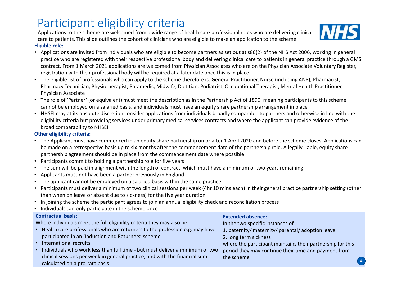## Participant eligibility criteria

Eligible role: Applications to the scheme are welcomed from a wide range of health care professional roles who are delivering clinical care to patients. This slide outlines the cohort of clinicians who are eligible to make an application to the scheme.

- Applications are invited from individuals who are eligible to become partners as set out at s86(2) of the NHS Act 2006, working in general Participant eligibility criteria<br>pplications to the scheme are welcomed from a wide range of health care professional roles who are delivering clinical<br>gible role:<br>gible role:<br>Applications are invited from individuals who contract. From 1 March 2021 applications are welcomed from Physician Associates who are on the Physician Associate Voluntary Register, registration with their professional body will be required at a later date once this is in place **Participant eligiblity criteria**<br> **Applications to the scheme are welcomed from a wide range of health care professional roles who are delivering dinical<br>
care to paplications are limited to rule to choose the constraint**
- The eligible list of professionals who can apply to the scheme therefore is: General Practitioner, Nurse (including ANP), Pharmacist, Pharmacy Technician, Physiotherapist, Paramedic, Midwife, Dietitian, Podiatrist, Occupational Therapist, Mental Health Practitioner, Physician Associate
- The role of 'Partner' (or equivalent) must meet the description as in the Partnership Act of 1890, meaning participants to this scheme cannot be employed on a salaried basis, and individuals must have an equity share partnership arrangement in place
- eligibility criteria but providing services under primary medical services contracts and where the applicant can provide evidence of the broad comparability to NHSEI

### Other eligibility criteria:

- The Applicant must have commenced in an equity share partnership on or after 1 April 2020 and before the scheme closes. Applications can be made on a retrospective basis up to six months after the commencement date of the partnership role. A legally-liable, equity share partnership agreement should be in place from the commencement date where possible <p>\nOther eligibility criteria: The Applications of the model is not always more than the own performance of the model is made on a retrospective basis up to six months after the commercial date of the patterns in the model is not a reference method. The mathematical method is the paper in the commercial rate, the performance of the data is not a single number of the data is not a single number of the data is not a single number of the data is not a single number of the data is not a single number of the data is not a single number of the data is not a single number of the data is not a single number of the data is not a single number of the data is not a single number of the data is not a single number of the data is not a single number of the data is not a single number of the data is not a single number of the data is not a single number of the data is not a single number of the data is not a single number of the data is not a single number of the data is not a single number of the data is not a
- Participants commit to holding a partnership role for five years
- The sum will be paid in alignment with the length of contract, which must have a minimum of two years remaining
- Applicants must not have been a partner previously in England
- The applicant cannot be employed on a salaried basis within the same practice
- Participants must deliver a minimum of two clinical sessions per week (4hr 10 mins each) in their general practice partnership setting (other than when on leave or absent due to sickness) for the five year duration
- In joining the scheme the participant agrees to join an annual eligibility check and reconciliation process
- Individuals can only participate in the scheme once

### Contractual basis:

Where individuals meet the full eligibility criteria they may also be:

- Health care professionals who are returners to the profession e.g. may have participated in an 'Induction and Returners' scheme
- International recruits
- clinical sessions per week in general practice, and with the financial sum calculated on a pro-rata basis

### Extended absence:

In the two specific instances of

- 1. paternity/ maternity/ parental/ adoption leave
- 2. long term sickness

where the participant maintains their partnership for this period they may continue their time and payment from the scheme

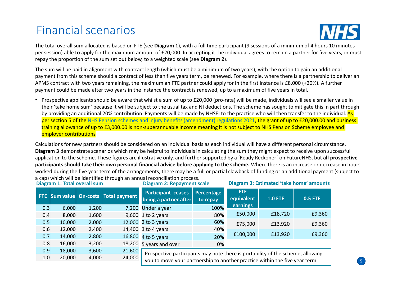### Financial scenarios



The total overall sum allocated is based on FTE (see Diagram 1), with a full time participant (9 sessions of a minimum of 4 hours 10 minutes repay the proportion of the sum set out below, to a weighted scale (see Diagram 2).

Financial scenarios<br>The total overall sum allocated is based on FTE (see **Diagram 1**), with a full time participant (9 sessions of a minimum of 4 hours 10 minutes<br>per session) able to apply for the maximum amount of £20,00 The sum will be paid in alignment with contract length (which must be a minimum of two years), with the option to gain an additional payment from this scheme should a contract of less than five years term, be renewed. For example, where there is a partnership to deliver an APMS contract with two years remaining, the maximum an FTE partner could apply for in the first instance is £8,000 (+20%). A further payment could be made after two years in the instance the contract is renewed, up to a maximum of five years in total.

| Prospective applicants should be aware that whilst a sum of up to £20,000 (pro-rata) will be made, individuals will see a smaller value in<br>their 'take home sum' because it will be subject to the usual tax and NI deductions. The scheme has sought to mitigate this in part through<br>by providing an additional 20% contribution. Payments will be made by NHSEI to the practice who will then transfer to the individual. As<br>per section 5 of the NHS Pension schemes and injury benefits (amendment) regulations 2021, the grant of up to £20,000.00 and business<br>training allowance of up to £3,000.00 is non-superannuable income meaning it is not subject to NHS Pension Scheme employee and<br>employer contributions<br>Calculations for new partners should be considered on an individual basis as each individual will have a different personal circumstance.<br>Diagram 3 demonstrate scenarios which may be helpful to individuals in calculating the sum they might expect to receive upon successful<br>application to the scheme. These figures are illustrative only, and further supported by a 'Ready Reckoner' on FutureNHS, but all prospective<br>participants should take their own personal financial advice before applying to the scheme. Where there is an increase or decrease in hours<br>worked during the five year term of the arrangements, there may be a full or partial clawback of funding or an additional payment (subject to<br>a cap) which will be identified through an annual reconciliation process.<br><b>Diagram 1: Total overall sum</b><br>Diagram 3: Estimated 'take home' amounts<br><b>Diagram 2: Repayment scale</b><br>FTE.<br><b>Participant ceases</b><br>Percentage<br>FTE Sum value On-costs Total payment<br><b>1.0 FTE</b><br>equivalent<br>being a partner after<br>to repay |                |
|----------------------------------------------------------------------------------------------------------------------------------------------------------------------------------------------------------------------------------------------------------------------------------------------------------------------------------------------------------------------------------------------------------------------------------------------------------------------------------------------------------------------------------------------------------------------------------------------------------------------------------------------------------------------------------------------------------------------------------------------------------------------------------------------------------------------------------------------------------------------------------------------------------------------------------------------------------------------------------------------------------------------------------------------------------------------------------------------------------------------------------------------------------------------------------------------------------------------------------------------------------------------------------------------------------------------------------------------------------------------------------------------------------------------------------------------------------------------------------------------------------------------------------------------------------------------------------------------------------------------------------------------------------------------------------------------------------------------------------------------------------------------------------------------------------------------------------------------------------|----------------|
|                                                                                                                                                                                                                                                                                                                                                                                                                                                                                                                                                                                                                                                                                                                                                                                                                                                                                                                                                                                                                                                                                                                                                                                                                                                                                                                                                                                                                                                                                                                                                                                                                                                                                                                                                                                                                                                          |                |
|                                                                                                                                                                                                                                                                                                                                                                                                                                                                                                                                                                                                                                                                                                                                                                                                                                                                                                                                                                                                                                                                                                                                                                                                                                                                                                                                                                                                                                                                                                                                                                                                                                                                                                                                                                                                                                                          |                |
|                                                                                                                                                                                                                                                                                                                                                                                                                                                                                                                                                                                                                                                                                                                                                                                                                                                                                                                                                                                                                                                                                                                                                                                                                                                                                                                                                                                                                                                                                                                                                                                                                                                                                                                                                                                                                                                          | <b>0.5 FTE</b> |
| earnings<br>100%<br>7,200 Under a year<br>0.3<br>6,000<br>1,200                                                                                                                                                                                                                                                                                                                                                                                                                                                                                                                                                                                                                                                                                                                                                                                                                                                                                                                                                                                                                                                                                                                                                                                                                                                                                                                                                                                                                                                                                                                                                                                                                                                                                                                                                                                          |                |
| £50,000<br>£18,720<br>80%<br>1,600<br>9,600 1 to 2 years<br>8,000<br>0.4                                                                                                                                                                                                                                                                                                                                                                                                                                                                                                                                                                                                                                                                                                                                                                                                                                                                                                                                                                                                                                                                                                                                                                                                                                                                                                                                                                                                                                                                                                                                                                                                                                                                                                                                                                                 | £9,360         |
| 0.5<br>2,000<br>12,000 2 to 3 years<br>60%<br>10,000<br>£75,000<br>£13,920                                                                                                                                                                                                                                                                                                                                                                                                                                                                                                                                                                                                                                                                                                                                                                                                                                                                                                                                                                                                                                                                                                                                                                                                                                                                                                                                                                                                                                                                                                                                                                                                                                                                                                                                                                               | £9,360         |
| 40%<br>0.6<br>2,400<br>14,400 3 to 4 years<br>12,000<br>£100,000<br>£13,920                                                                                                                                                                                                                                                                                                                                                                                                                                                                                                                                                                                                                                                                                                                                                                                                                                                                                                                                                                                                                                                                                                                                                                                                                                                                                                                                                                                                                                                                                                                                                                                                                                                                                                                                                                              | £9,360         |
| 2,800<br>0.7<br>14,000<br>16,800 4 to 5 years<br>20%<br>3,200<br>0.8<br>16,000<br>18,200                                                                                                                                                                                                                                                                                                                                                                                                                                                                                                                                                                                                                                                                                                                                                                                                                                                                                                                                                                                                                                                                                                                                                                                                                                                                                                                                                                                                                                                                                                                                                                                                                                                                                                                                                                 |                |
| 5 years and over<br>0%<br>0.9<br>3,600<br>21,600<br>18,000                                                                                                                                                                                                                                                                                                                                                                                                                                                                                                                                                                                                                                                                                                                                                                                                                                                                                                                                                                                                                                                                                                                                                                                                                                                                                                                                                                                                                                                                                                                                                                                                                                                                                                                                                                                               |                |
| Prospective participants may note there is portability of the scheme, allowing<br>1.0<br>20,000<br>4,000<br>24,000<br>you to move your partnership to another practice within the five year term                                                                                                                                                                                                                                                                                                                                                                                                                                                                                                                                                                                                                                                                                                                                                                                                                                                                                                                                                                                                                                                                                                                                                                                                                                                                                                                                                                                                                                                                                                                                                                                                                                                         |                |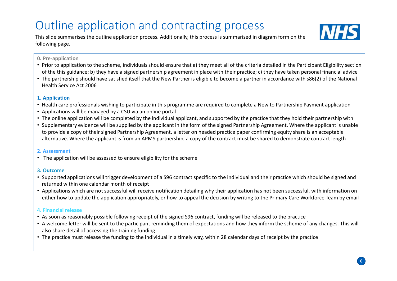## Outline application and contracting process and  $\overline{\text{MBS}}$

This slide summarises the outline application process. Additionally, this process is summarised in diagram form on the following page.



### 0. Pre-application

- Prior to application to the scheme, individuals should ensure that a) they meet all of the criteria detailed in the Participant Eligibility section of the this guidance; b) they have a signed partnership agreement in place with their practice; c) they have taken personal financial advice
- The partnership should have satisfied itself that the New Partner is eligible to become a partner in accordance with s86(2) of the National Health Service Act 2006

### 1. Application

- Health care professionals wishing to participate in this programme are required to complete a New to Partnership Payment application
- Applications will be managed by a CSU via an online portal
- The online application will be completed by the individual applicant, and supported by the practice that they hold their partnership with
- **Cultime application and contracting process**<br>
This slide summarises the outline application process. Additionally, this process is summarised in diagram form on the<br>
D. Pre-application<br>
Prior to application to the scheme, to provide a copy of their signed Partnership Agreement, a letter on headed practice paper confirming equity share is an acceptable alternative. Where the applicant is from an APMS partnership, a copy of the contract must be shared to demonstrate contract length or the musgousness, of were resigned interesting agreement in place two conners partner in accordance with s86(2) of the National<br>
• The partnership should have satisfied itself that the New Partner is eligible to become a

#### 2. Assessment

• The application will be assessed to ensure eligibility for the scheme

#### 3. Outcome

- Supported applications will trigger development of a S96 contract specific to the individual and their practice which should be signed and returned within one calendar month of receipt
- either how to update the application appropriately, or how to appeal the decision by writing to the Primary Care Workforce Team by email

### 4. Financial release

- As soon as reasonably possible following receipt of the signed S96 contract, funding will be released to the practice
- A welcome letter will be sent to the participant reminding them of expectations and how they inform the scheme of any changes. This will also share detail of accessing the training funding
- The practice must release the funding to the individual in a timely way, within 28 calendar days of receipt by the practice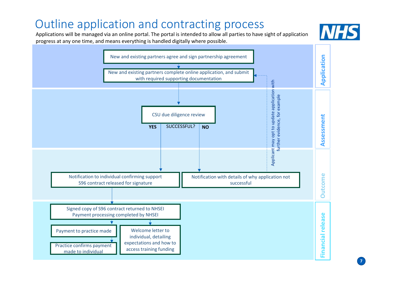# Outline application and contracting process<br>Applications will be managed via an online portal. The portal is intended to allow all parties to have sight of application

Applications will be managed via an online portal. The portal is intended to allow all parties to have sight of application progress at any one time, and means everything is handled digitally where possible.



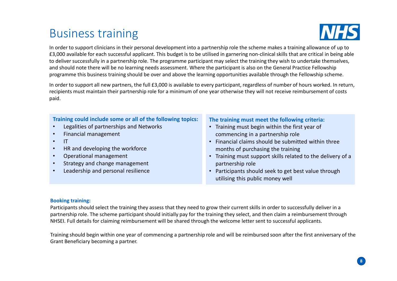### Business training



BUSINESS training<br>In order to support clinicians in their personal development into a partnership role the scheme makes a training allowance of up to<br>E3,000 available for each successful applicant. This budget is to be uti **EXECUTE FOR THE FOR THE FOR THE FOR THE FOR THE FOR THE FOR THE SUPPLE THE SUPPLE THE CONDO AVAILABLE FOR EXECUTE TO A DATA CONDO AVAILABLE TO A DATA CONDO AVAILABLE TO A DATA CONDO AVAILABLE TO A DATA CRITICAL SKILLS tha** to deliver successfully in a partnership role. The programme participant may select the training they wish to undertake themselves, and should note there will be no learning needs assessment. Where the participant is also on the General Practice Fellowship programme this business training should be over and above the learning opportunities available through the Fellowship scheme.

In order to support all new partners, the full £3,000 is available to every participant, regardless of number of hours worked. In return, recipients must maintain their partnership role for a minimum of one year otherwise they will not receive reimbursement of costs paid.

### Training could include some or all of the following topics:

- Legalities of partnerships and Networks
- Financial management
- IT
- HR and developing the workforce
- Operational management
- Strategy and change management
- Leadership and personal resilience

### The training must meet the following criteria:

- Training must begin within the first year of commencing in a partnership role
- Financial claims should be submitted within three months of purchasing the training
- Training must support skills related to the delivery of a partnership role
- Participants should seek to get best value through utilising this public money well

#### Booking training:

recipients must maintain their partnership role for a minimum of one year otherwise they will not receive reimbursement of costs<br>  $\bullet$  **Propissions of antitastics** of partnerships and Networks<br>  $\bullet$  **Propissions of antitas** partnership role. The scheme participant should initially pay for the training they select, and then claim a reimbursement through NHSEI. Full details for claiming reimbursement will be shared through the welcome letter sent to successful applicants.

Training should begin within one year of commencing a partnership role and will be reimbursed soon after the first anniversary of the Grant Beneficiary becoming a partner.